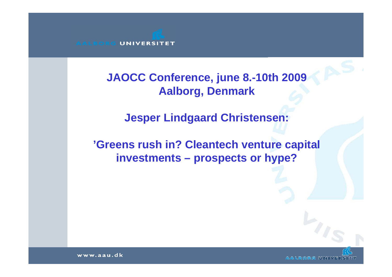**JAOCC Conference, june 8.-10th 2009 Aalborg, Denmark** 

**Jesper Lindgaard Christensen:** 

**'Greens rush in? Cleantech venture capital investments – prospects or hype?**

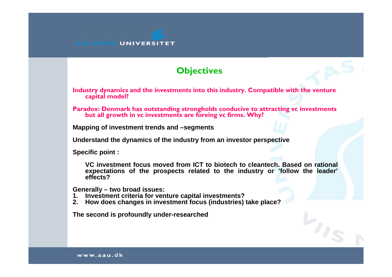# **Objectives**

**Industry dynamics and the investments into this industry. Compatible with the venture capital model?**

**Paradox: Denmark has outstanding strongholds conducive to attracting vc investments but all growth in vc investments are foreing vc firms. Why?**

**Mapping of investment trends and –segments**

**Understand the dynamics of the industry from an investor perspective**

**Specific point :** 

**VC investment focus moved from ICT to biotech to cleantech. Based on rational expectations of the prospects related to the industry or 'follow the leader' effects?** 

**Generally – two broad issues:**

- **1. Investment criteria for venture capital investments?**
- **2. How does changes in investment focus (industries) take place?**

**The second is profoundly under-researched**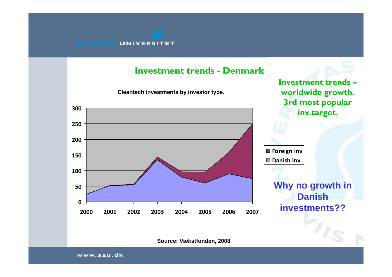#### **Investment trends - Denmark**

**Cleantech investments by investor type. 0501001502002503002000 2001 2002 2003 2004 2005 2006 2007Foreign inv Danish inv Why no growth in Danish investments??Investment trends –worldwide growth. 3rd most popular inv.target.**

**Source: Vækstfonden, 2008**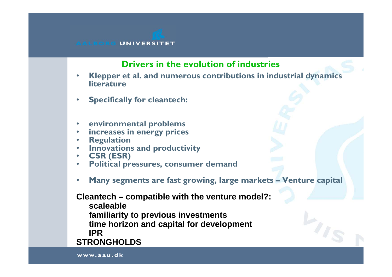# **Drivers in the evolution of industries**

- • **Klepper et al. and numerous contributions in industrial dynamics literature**
- $\bullet$ **Specifically for cleantech:**
- •**environmental problems**
- •**increases in energy prices**
- •**Regulation**
- •**Innovations and productivity**
- $\bullet$ **CSR (ESR)**
- •**Political pressures, consumer demand**
- $\bullet$ **Many segments are fast growing, large markets – Venture capital**

**Cleantech – compatible with the venture model?:**

**scaleablefamiliarity to previous investments time horizon and capital for development IPRSTRONGHOLDS**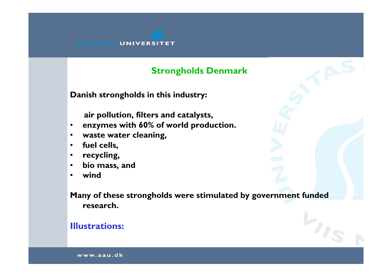# **Strongholds Denmark**

**Danish strongholds in this industry:**

**air pollution, filters and catalysts,** 

- •**enzymes with 60% of world production.**
- $\bullet$ **waste water cleaning,**
- $\bullet$ **fuel cells,**
- $\bullet$ **recycling,**
- •**bio mass, and**
- •**wind**

**Many of these strongholds were stimulated by government funded research.**

# **Illustrations:**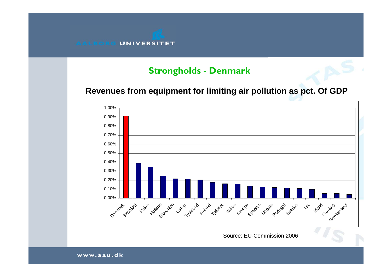## **Strongholds - Denmark**

### **Revenues from equipment for limiting air pollution as pct. Of GDP**



Source: EU-Commission 2006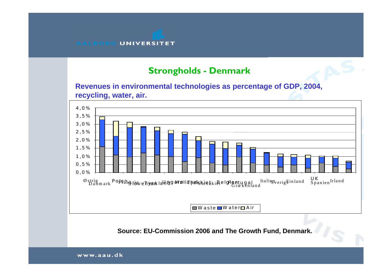### **Strongholds - Denmark**

**Revenues in environmental technologies as percentage of GDP, 2004, recycling, water, air.** 



**Source: EU-Commission 2006 and The Growth Fund, Denmark.**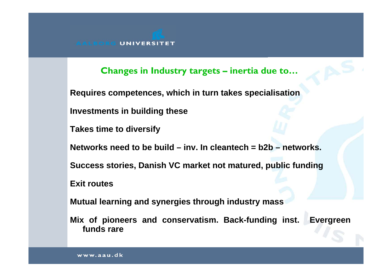**Changes in Industry targets – inertia due to…**

**Requires competences, which in turn takes specialisation**

**Investments in building these**

**Takes time to diversify**

**Networks need to be build – inv. In cleantech = b2b – networks.**

**Success stories, Danish VC market not matured, public funding**

**Exit routes**

**Mutual learning and synergies through industry mass**

**Mix of pioneers and conservatism. Back-funding inst. Evergreen funds rare**